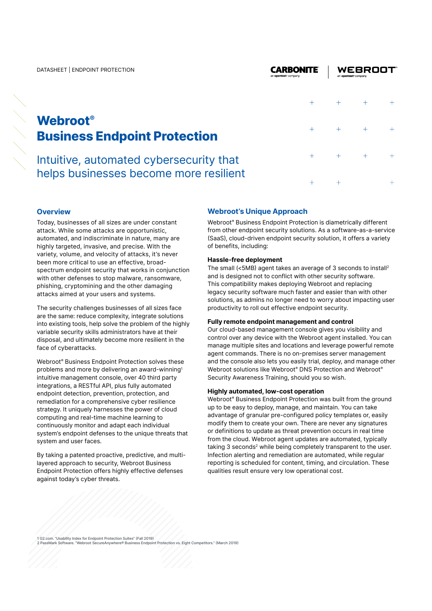# **Webroot® Business Endpoint Protection**

Intuitive, automated cybersecurity that helps businesses become more resilient

## $\overline{+}$  $\overline{+}$  $\overline{+}$  $\ddot{\phantom{1}}$  $\ddot{+}$  $\ddot{}$  $\pm$  $\ddot{+}$  $\ddotplus$  $\overline{+}$

**WEBROOT** 

## **Overview**

Today, businesses of all sizes are under constant attack. While some attacks are opportunistic, automated, and indiscriminate in nature, many are highly targeted, invasive, and precise. With the variety, volume, and velocity of attacks, it's never been more critical to use an effective, broadspectrum endpoint security that works in conjunction with other defenses to stop malware, ransomware, phishing, cryptomining and the other damaging attacks aimed at your users and systems.

The security challenges businesses of all sizes face are the same: reduce complexity, integrate solutions into existing tools, help solve the problem of the highly variable security skills administrators have at their disposal, and ultimately become more resilient in the face of cyberattacks.

Webroot<sup>®</sup> Business Endpoint Protection solves these problems and more by delivering an award-winning1 intuitive management console, over 40 third party integrations, a RESTful API, plus fully automated endpoint detection, prevention, protection, and remediation for a comprehensive cyber resilience strategy. It uniquely harnesses the power of cloud computing and real-time machine learning to continuously monitor and adapt each individual system's endpoint defenses to the unique threats that system and user faces.

By taking a patented proactive, predictive, and multilayered approach to security, Webroot Business Endpoint Protection offers highly effective defenses against today's cyber threats.

### **Webroot's Unique Approach**

Webroot® Business Endpoint Protection is diametrically different from other endpoint security solutions. As a software-as-a-service (SaaS), cloud-driven endpoint security solution, it offers a variety of benefits, including:

**CARBONITE** 

#### **Hassle-free deployment**

The small (<5MB) agent takes an average of 3 seconds to install<sup>2</sup> and is designed not to conflict with other security software. This compatibility makes deploying Webroot and replacing legacy security software much faster and easier than with other solutions, as admins no longer need to worry about impacting user productivity to roll out effective endpoint security.

#### **Fully remote endpoint management and control**

Our cloud-based management console gives you visibility and control over any device with the Webroot agent installed. You can manage multiple sites and locations and leverage powerful remote agent commands. There is no on-premises server management and the console also lets you easily trial, deploy, and manage other Webroot solutions like Webroot® DNS Protection and Webroot® Security Awareness Training, should you so wish.

#### **Highly automated, low-cost operation**

Webroot<sup>®</sup> Business Endpoint Protection was built from the ground up to be easy to deploy, manage, and maintain. You can take advantage of granular pre-configured policy templates or, easily modify them to create your own. There are never any signatures or definitions to update as threat prevention occurs in real time from the cloud. Webroot agent updates are automated, typically taking 3 seconds<sup>2</sup> while being completely transparent to the user. Infection alerting and remediation are automated, while regular reporting is scheduled for content, timing, and circulation. These qualities result ensure very low operational cost.

1 G2.com. "Usability Index for Endpoint Protection Suites" (Fall 2019) 2 PassMark Software. "Webroot SecureAnywhere® Business Endpoint Protection vs. Eight Competitors." (March 2019)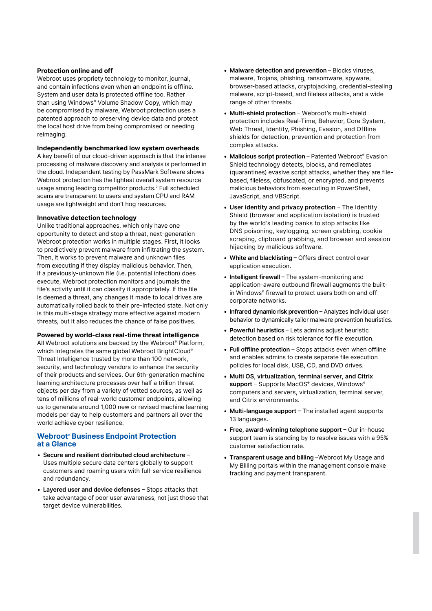#### **Protection online and off**

Webroot uses propriety technology to monitor, journal, and contain infections even when an endpoint is offline. System and user data is protected offline too. Rather than using Windows® Volume Shadow Copy, which may be compromised by malware, Webroot protection uses a patented approach to preserving device data and protect the local host drive from being compromised or needing reimaging.

#### **Independently benchmarked low system overheads**

A key benefit of our cloud-driven approach is that the intense processing of malware discovery and analysis is performed in the cloud. Independent testing by PassMark Software shows Webroot protection has the lightest overall system resource usage among leading competitor products.2 Full scheduled scans are transparent to users and system CPU and RAM usage are lightweight and don't hog resources.

#### **Innovative detection technology**

Unlike traditional approaches, which only have one opportunity to detect and stop a threat, next-generation Webroot protection works in multiple stages. First, it looks to predictively prevent malware from infiltrating the system. Then, it works to prevent malware and unknown files from executing if they display malicious behavior. Then, if a previously-unknown file (i.e. potential infection) does execute, Webroot protection monitors and journals the file's activity until it can classify it appropriately. If the file is deemed a threat, any changes it made to local drives are automatically rolled back to their pre-infected state. Not only is this multi-stage strategy more effective against modern threats, but it also reduces the chance of false positives.

#### **Powered by world-class real-time threat intelligence**

All Webroot solutions are backed by the Webroot® Platform, which integrates the same global Webroot BrightCloud® Threat Intelligence trusted by more than 100 network, security, and technology vendors to enhance the security of their products and services. Our 6th-generation machine learning architecture processes over half a trillion threat objects per day from a variety of vetted sources, as well as tens of millions of real-world customer endpoints, allowing us to generate around 1,000 new or revised machine learning models per day to help customers and partners all over the world achieve cyber resilience.

#### **Webroot**® **Business Endpoint Protection at a Glance**

- **Secure and resilient distributed cloud architecture** Uses multiple secure data centers globally to support customers and roaming users with full-service resilience and redundancy.
- Layered user and device defenses Stops attacks that take advantage of poor user awareness, not just those that target device vulnerabilities.
- Malware detection and prevention Blocks viruses. malware, Trojans, phishing, ransomware, spyware, browser-based attacks, cryptojacking, credential-stealing malware, script-based, and fileless attacks, and a wide range of other threats.
- Multi-shield protection Webroot's multi-shield protection includes Real-Time, Behavior, Core System, Web Threat, Identity, Phishing, Evasion, and Offline shields for detection, prevention and protection from complex attacks.
- Malicious script protection Patented Webroot® Evasion Shield technology detects, blocks, and remediates (quarantines) evasive script attacks, whether they are filebased, fileless, obfuscated, or encrypted, and prevents malicious behaviors from executing in PowerShell, JavaScript, and VBScript.
- User identity and privacy protection The Identity Shield (browser and application isolation) is trusted by the world's leading banks to stop attacks like DNS poisoning, keylogging, screen grabbing, cookie scraping, clipboard grabbing, and browser and session hijacking by malicious software.
- White and blacklisting Offers direct control over application execution.
- **Intelligent firewall** The system-monitoring and application-aware outbound firewall augments the builtin Windows® firewall to protect users both on and off corporate networks.
- Infrared dynamic risk prevention Analyzes individual user behavior to dynamically tailor malware prevention heuristics.
- **Powerful heuristics** Lets admins adjust heuristic detection based on risk tolerance for file execution.
- Full offline protection Stops attacks even when offline and enables admins to create separate file execution policies for local disk, USB, CD, and DVD drives.
- **Multi OS, virtualization, terminal server, and Citrix**  support - Supports MacOS® devices, Windows® computers and servers, virtualization, terminal server, and Citrix environments.
- Multi-language support The installed agent supports 13 languages.
- **Free, award-winning telephone support** Our in-house support team is standing by to resolve issues with a 95% customer satisfaction rate.
- **Transparent usage and billing** Webroot My Usage and My Billing portals within the management console make tracking and payment transparent.